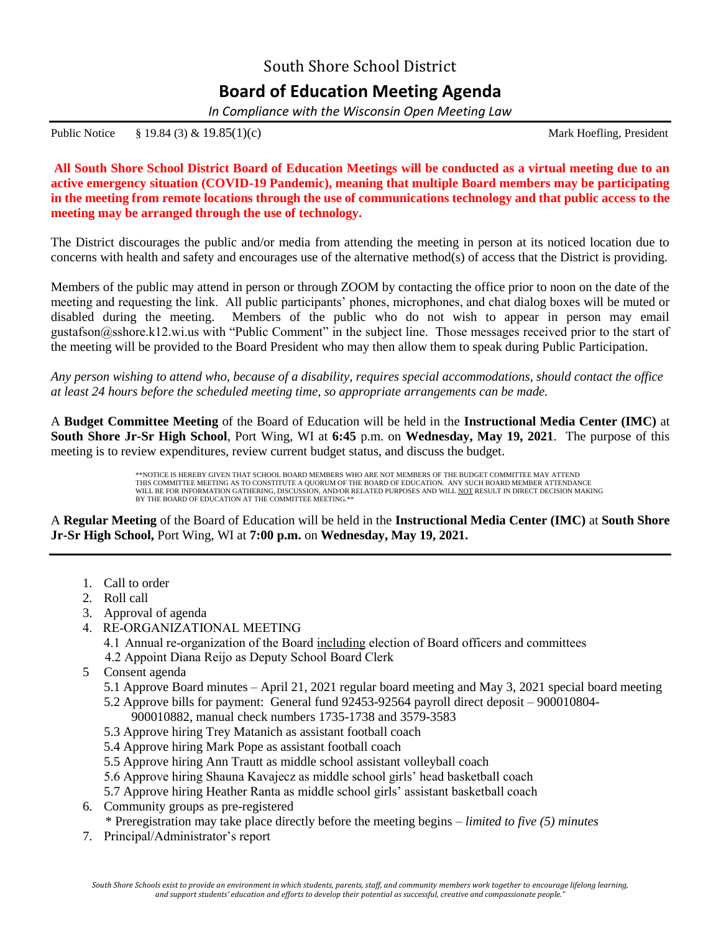## South Shore School District **Board of Education Meeting Agenda**

*In Compliance with the Wisconsin Open Meeting Law*

Public Notice § 19.84 (3) & 19.85(1)(c) Mark Hoefling, President

**All South Shore School District Board of Education Meetings will be conducted as a virtual meeting due to an active emergency situation (COVID-19 Pandemic), meaning that multiple Board members may be participating in the meeting from remote locations through the use of communications technology and that public access to the meeting may be arranged through the use of technology.**

The District discourages the public and/or media from attending the meeting in person at its noticed location due to concerns with health and safety and encourages use of the alternative method(s) of access that the District is providing.

Members of the public may attend in person or through ZOOM by contacting the office prior to noon on the date of the meeting and requesting the link. All public participants' phones, microphones, and chat dialog boxes will be muted or disabled during the meeting. Members of the public who do not wish to appear in person may email gustafson@sshore.k12.wi.us with "Public Comment" in the subject line. Those messages received prior to the start of the meeting will be provided to the Board President who may then allow them to speak during Public Participation.

*Any person wishing to attend who, because of a disability, requires special accommodations, should contact the office at least 24 hours before the scheduled meeting time, so appropriate arrangements can be made.*

A **Budget Committee Meeting** of the Board of Education will be held in the **Instructional Media Center (IMC)** at **South Shore Jr-Sr High School**, Port Wing, WI at **6:45** p.m. on **Wednesday, May 19, 2021**.The purpose of this meeting is to review expenditures, review current budget status, and discuss the budget.

> \*\*NOTICE IS HEREBY GIVEN THAT SCHOOL BOARD MEMBERS WHO ARE NOT MEMBERS OF THE BUDGET COMMITTEE MAY ATTEND THIS COMMITTEE MEETING AS TO CONSTITUTE A QUORUM OF THE BOARD OF EDUCATION. ANY SUCH BOARD MEMBER ATTENDANCE WILL BE FOR INFORMATION GATHERING, DISCUSSION, AND/OR RELATED PURPOSES AND WILL NOT RESULT IN DIRECT DECISION MAKING BY THE BOARD OF EDUCATION AT THE COMMITTEE MEETING.\*\*

A **Regular Meeting** of the Board of Education will be held in the **Instructional Media Center (IMC)** at **South Shore Jr-Sr High School,** Port Wing, WI at **7:00 p.m.** on **Wednesday, May 19, 2021.**

- 1. Call to order
- 2. Roll call
- 3. Approval of agenda
- 4. RE-ORGANIZATIONAL MEETING
	- 4.1 Annual re-organization of the Board including election of Board officers and committees
	- 4.2 Appoint Diana Reijo as Deputy School Board Clerk
- 5 Consent agenda
	- 5.1 Approve Board minutes April 21, 2021 regular board meeting and May 3, 2021 special board meeting 5.2 Approve bills for payment: General fund 92453-92564 payroll direct deposit – 900010804-
		- 900010882, manual check numbers 1735-1738 and 3579-3583
	- 5.3 Approve hiring Trey Matanich as assistant football coach
	- 5.4 Approve hiring Mark Pope as assistant football coach
	- 5.5 Approve hiring Ann Trautt as middle school assistant volleyball coach
	- 5.6 Approve hiring Shauna Kavajecz as middle school girls' head basketball coach
	- 5.7 Approve hiring Heather Ranta as middle school girls' assistant basketball coach
- 6. Community groups as pre-registered
	- \* Preregistration may take place directly before the meeting begins *limited to five (5) minutes*
- 7. Principal/Administrator's report